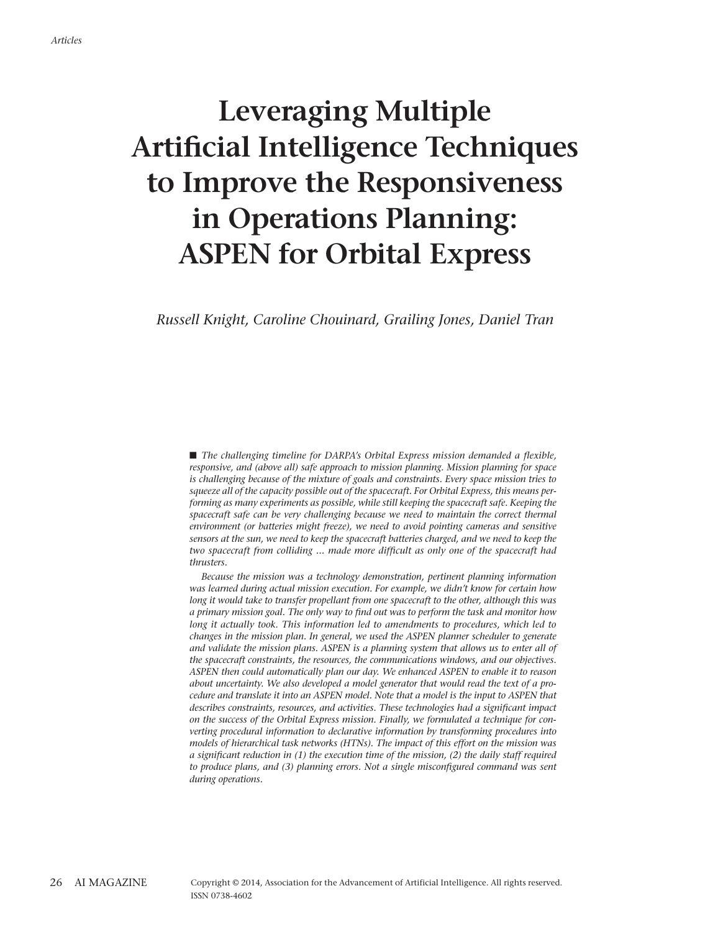# **Leveraging Multiple Artificial Intelligence Techniques to Improve the Responsiveness in Operations Planning: ASPEN for Orbital Express**

*Russell Knight, Caroline Chouinard, Grailing Jones, Daniel Tran*

■ *The challenging timeline for DARPA's Orbital Express mission demanded a flexible*, *responsive, and (above all) safe approach to mission planning. Mission planning for space is challenging because of the mixture of goals and constraints. Every space mission tries to squeeze all of the capacity possible out of the spacecraft. For Orbital Express, this means performing as many experiments as possible, while still keeping the spacecraft safe. Keeping the spacecraft safe can be very challenging because we need to maintain the correct thermal environment (or batteries might freeze), we need to avoid pointing cameras and sensitive sensors at the sun, we need to keep the spacecraft batteries charged, and we need to keep the two spacecraft from colliding ... made more difficult as only one of the spacecraft had thrusters.*

*Because the mission was a technology demonstration, pertinent planning information was learned during actual mission execution. For example, we didn't know for certain how long it would take to transfer propellant from one spacecraft to the other, although this was a primary mission goal. The only way to find out was to perform the task and monitor how long it actually took. This information led to amendments to procedures, which led to changes in the mission plan. In general, we used the ASPEN planner scheduler to generate and validate the mission plans. ASPEN is a planning system that allows us to enter all of the spacecraft constraints, the resources, the communications windows, and our objectives. ASPEN then could automatically plan our day. We enhanced ASPEN to enable it to reason about uncertainty. We also developed a model generator that would read the text of a procedure and translate it into an ASPEN model. Note that a model is the input to ASPEN that describes constraints, resources, and activities. These technologies had a significant impact on the success of the Orbital Express mission. Finally, we formulated a technique for converting procedural information to declarative information by transforming procedures into models of hierarchical task networks (HTNs). The impact of this effort on the mission was a significant reduction in (1) the execution time of the mission, (2) the daily staff required to produce plans, and (3) planning errors. Not a single misconfigured command was sent during operations.*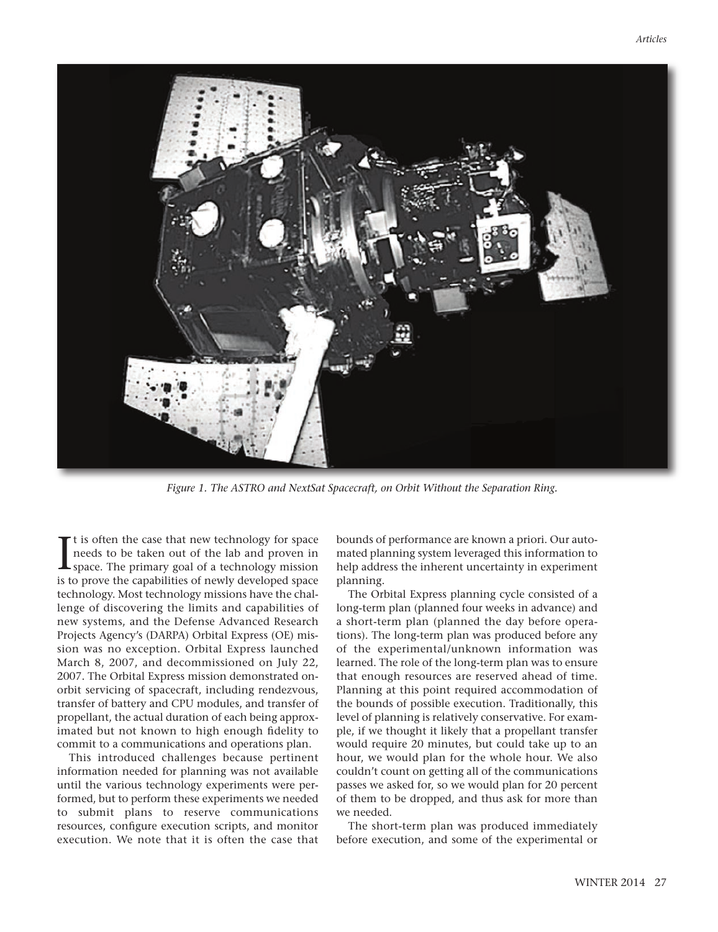

*Figure 1. The ASTRO and NextSat Spacecraft, on Orbit Without the Separation Ring.*

It is often the case that new technology for space<br>needs to be taken out of the lab and proven in<br>space. The primary goal of a technology mission<br>is to prove the capabilities of newly developed space t is often the case that new technology for space needs to be taken out of the lab and proven in is to prove the capabilities of newly developed space technology. Most technology missions have the challenge of discovering the limits and capabilities of new systems, and the Defense Advanced Research Projects Agency's (DARPA) Orbital Express (OE) mission was no exception. Orbital Express launched March 8, 2007, and decommissioned on July 22, 2007. The Orbital Express mission demonstrated onorbit servicing of spacecraft, including rendezvous, transfer of battery and CPU modules, and transfer of propellant, the actual duration of each being approximated but not known to high enough fidelity to commit to a communications and operations plan.

This introduced challenges because pertinent information needed for planning was not available until the various technology experiments were performed, but to perform these experiments we needed to submit plans to reserve communications resources, configure execution scripts, and monitor execution. We note that it is often the case that bounds of performance are known a priori. Our automated planning system leveraged this information to help address the inherent uncertainty in experiment planning.

The Orbital Express planning cycle consisted of a long-term plan (planned four weeks in advance) and a short-term plan (planned the day before operations). The long-term plan was produced before any of the experimental/unknown information was learned. The role of the long-term plan was to ensure that enough resources are reserved ahead of time. Planning at this point required accommodation of the bounds of possible execution. Traditionally, this level of planning is relatively conservative. For example, if we thought it likely that a propellant transfer would require 20 minutes, but could take up to an hour, we would plan for the whole hour. We also couldn't count on getting all of the communications passes we asked for, so we would plan for 20 percent of them to be dropped, and thus ask for more than we needed.

The short-term plan was produced immediately before execution, and some of the experimental or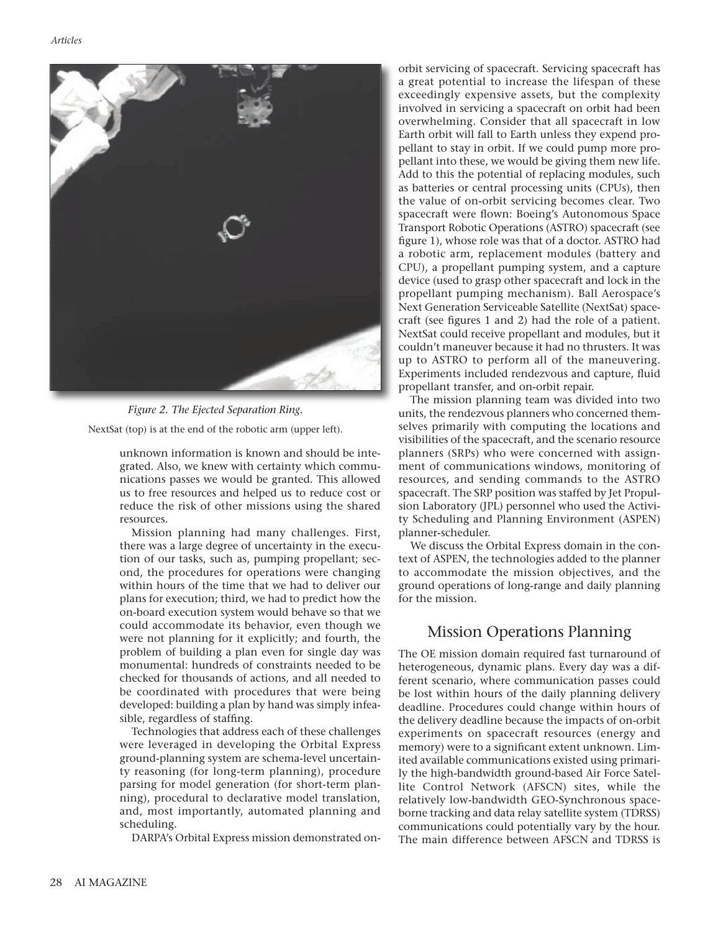

*Figure 2. The Ejected Separation Ring.*  NextSat (top) is at the end of the robotic arm (upper left).

unknown information is known and should be integrated. Also, we knew with certainty which communications passes we would be granted. This allowed us to free resources and helped us to reduce cost or reduce the risk of other missions using the shared resources.

Mission planning had many challenges. First, there was a large degree of uncertainty in the execution of our tasks, such as, pumping propellant; second, the procedures for operations were changing within hours of the time that we had to deliver our plans for execution; third, we had to predict how the on-board execution system would behave so that we could accommodate its behavior, even though we were not planning for it explicitly; and fourth, the problem of building a plan even for single day was monumental: hundreds of constraints needed to be checked for thousands of actions, and all needed to be coordinated with procedures that were being developed: building a plan by hand was simply infeasible, regardless of staffing.

Technologies that address each of these challenges were leveraged in developing the Orbital Express ground-planning system are schema-level uncertainty reasoning (for long-term planning), procedure parsing for model generation (for short-term planning), procedural to declarative model translation, and, most importantly, automated planning and scheduling.

DARPA's Orbital Express mission demonstrated on-

orbit servicing of spacecraft. Servicing spacecraft has a great potential to increase the lifespan of these exceedingly expensive assets, but the complexity involved in servicing a spacecraft on orbit had been overwhelming. Consider that all spacecraft in low Earth orbit will fall to Earth unless they expend propellant to stay in orbit. If we could pump more propellant into these, we would be giving them new life. Add to this the potential of replacing modules, such as batteries or central processing units (CPUs), then the value of on-orbit servicing becomes clear. Two spacecraft were flown: Boeing's Autonomous Space Transport Robotic Operations (ASTRO) spacecraft (see figure 1), whose role was that of a doctor. ASTRO had a robotic arm, replacement modules (battery and CPU), a propellant pumping system, and a capture device (used to grasp other spacecraft and lock in the propellant pumping mechanism). Ball Aerospace's Next Generation Serviceable Satellite (NextSat) spacecraft (see figures 1 and 2) had the role of a patient. NextSat could receive propellant and modules, but it couldn't maneuver because it had no thrusters. It was up to ASTRO to perform all of the maneuvering. Experiments included rendezvous and capture, fluid propellant transfer, and on-orbit repair.

The mission planning team was divided into two units, the rendezvous planners who concerned themselves primarily with computing the locations and visibilities of the spacecraft, and the scenario resource planners (SRPs) who were concerned with assignment of communications windows, monitoring of resources, and sending commands to the ASTRO spacecraft. The SRP position was staffed by Jet Propulsion Laboratory (JPL) personnel who used the Activity Scheduling and Planning Environment (ASPEN) planner-scheduler.

We discuss the Orbital Express domain in the context of ASPEN, the technologies added to the planner to accommodate the mission objectives, and the ground operations of long-range and daily planning for the mission.

## Mission Operations Planning

The OE mission domain required fast turnaround of heterogeneous, dynamic plans. Every day was a different scenario, where communication passes could be lost within hours of the daily planning delivery deadline. Procedures could change within hours of the delivery deadline because the impacts of on-orbit experiments on spacecraft resources (energy and memory) were to a significant extent unknown. Limited available communications existed using primarily the high-bandwidth ground-based Air Force Satellite Control Network (AFSCN) sites, while the relatively low-bandwidth GEO-Synchronous spaceborne tracking and data relay satellite system (TDRSS) communications could potentially vary by the hour. The main difference between AFSCN and TDRSS is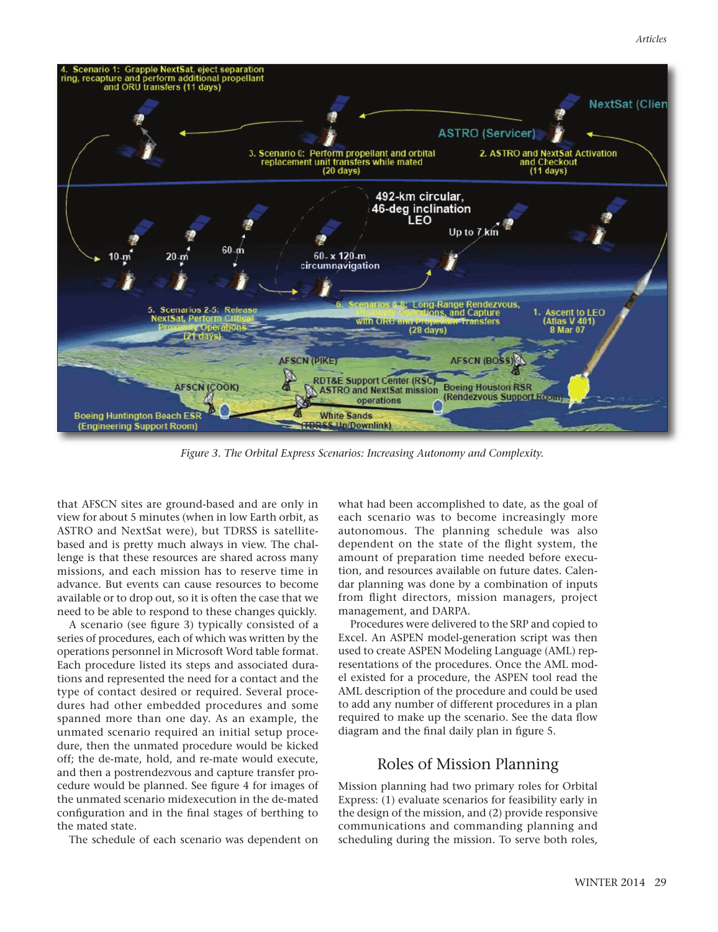

*Figure 3. The Orbital Express Scenarios: Increasing Autonomy and Complexity.*

that AFSCN sites are ground-based and are only in view for about 5 minutes (when in low Earth orbit, as ASTRO and NextSat were), but TDRSS is satellitebased and is pretty much always in view. The challenge is that these resources are shared across many missions, and each mission has to reserve time in advance. But events can cause resources to become available or to drop out, so it is often the case that we need to be able to respond to these changes quickly.

A scenario (see figure 3) typically consisted of a series of procedures, each of which was written by the operations personnel in Microsoft Word table format. Each procedure listed its steps and associated durations and represented the need for a contact and the type of contact desired or required. Several procedures had other embedded procedures and some spanned more than one day. As an example, the unmated scenario required an initial setup procedure, then the unmated procedure would be kicked off; the de-mate, hold, and re-mate would execute, and then a postrendezvous and capture transfer procedure would be planned. See figure 4 for images of the unmated scenario midexecution in the de-mated configuration and in the final stages of berthing to the mated state.

The schedule of each scenario was dependent on

what had been accomplished to date, as the goal of each scenario was to become increasingly more autonomous. The planning schedule was also dependent on the state of the flight system, the amount of preparation time needed before execution, and resources available on future dates. Calendar planning was done by a combination of inputs from flight directors, mission managers, project management, and DARPA.

Procedures were delivered to the SRP and copied to Excel. An ASPEN model-generation script was then used to create ASPEN Modeling Language (AML) representations of the procedures. Once the AML model existed for a procedure, the ASPEN tool read the AML description of the procedure and could be used to add any number of different procedures in a plan required to make up the scenario. See the data flow diagram and the final daily plan in figure 5.

## Roles of Mission Planning

Mission planning had two primary roles for Orbital Express: (1) evaluate scenarios for feasibility early in the design of the mission, and (2) provide responsive communications and commanding planning and scheduling during the mission. To serve both roles,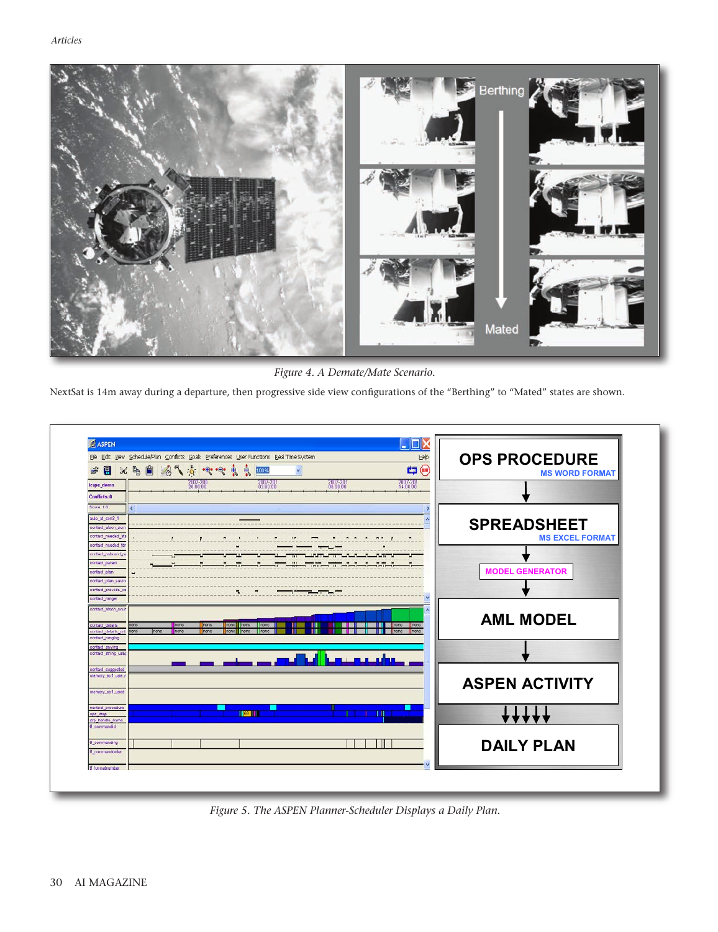

*Figure 4. A Demate/Mate Scenario.*

NextSat is 14m away during a departure, then progressive side view configurations of the "Berthing" to "Mated" states are shown.



*Figure 5. The ASPEN Planner-Scheduler Displays a Daily Plan.*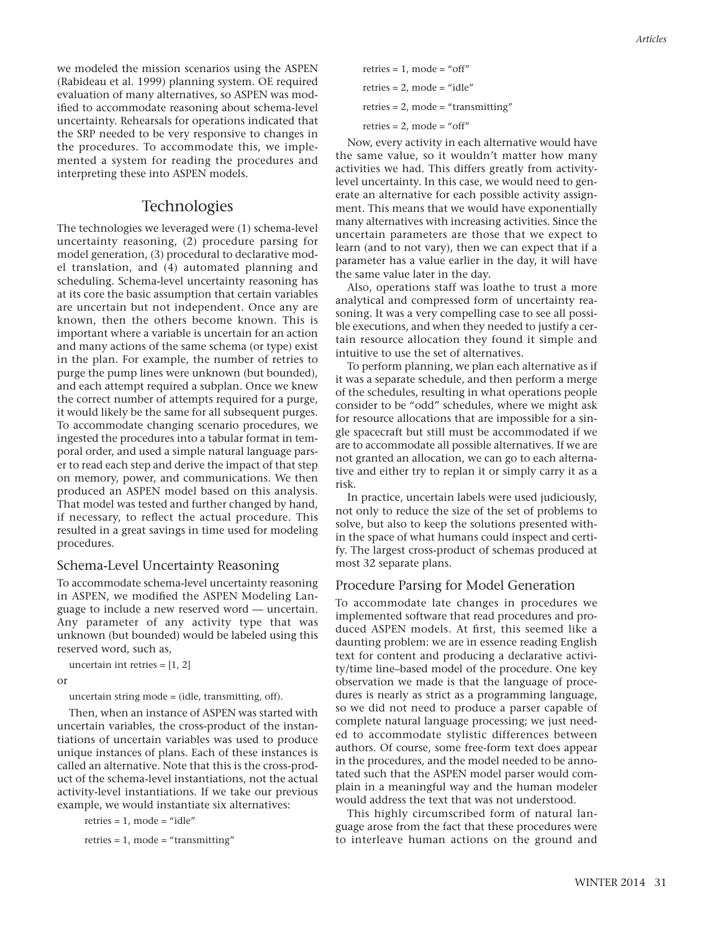we modeled the mission scenarios using the ASPEN (Rabideau et al. 1999) planning system. OE required evaluation of many alternatives, so ASPEN was modified to accommodate reasoning about schema-level uncertainty. Rehearsals for operations indicated that the SRP needed to be very responsive to changes in the procedures. To accommodate this, we implemented a system for reading the procedures and interpreting these into ASPEN models.

## **Technologies**

The technologies we leveraged were (1) schema-level uncertainty reasoning, (2) procedure parsing for model generation, (3) procedural to declarative model translation, and (4) automated planning and scheduling. Schema-level uncertainty reasoning has at its core the basic assumption that certain variables are uncertain but not independent. Once any are known, then the others become known. This is important where a variable is uncertain for an action and many actions of the same schema (or type) exist in the plan. For example, the number of retries to purge the pump lines were unknown (but bounded), and each attempt required a subplan. Once we knew the correct number of attempts required for a purge, it would likely be the same for all subsequent purges. To accommodate changing scenario procedures, we ingested the procedures into a tabular format in temporal order, and used a simple natural language parser to read each step and derive the impact of that step on memory, power, and communications. We then produced an ASPEN model based on this analysis. That model was tested and further changed by hand, if necessary, to reflect the actual procedure. This resulted in a great savings in time used for modeling procedures.

#### Schema-Level Uncertainty Reasoning

To accommodate schema-level uncertainty reasoning in ASPEN, we modified the ASPEN Modeling Language to include a new reserved word — uncertain. Any parameter of any activity type that was unknown (but bounded) would be labeled using this reserved word, such as,

uncertain int retries  $=[1, 2]$ 

or

uncertain string mode = (idle, transmitting, off).

Then, when an instance of ASPEN was started with uncertain variables, the cross-product of the instantiations of uncertain variables was used to produce unique instances of plans. Each of these instances is called an alternative. Note that this is the cross-product of the schema-level instantiations, not the actual activity-level instantiations. If we take our previous example, we would instantiate six alternatives:

 $retries = 1$ , mode = "idle"

 $retries = 1$ , mode = "transmitting"

retries  $= 1$ , mode  $=$  "off"  $retries = 2$ , mode = "idle"  $retries = 2$ , mode = "transmitting" retries  $= 2$ , mode  $=$  "off"

Now, every activity in each alternative would have the same value, so it wouldn't matter how many activities we had. This differs greatly from activitylevel uncertainty. In this case, we would need to generate an alternative for each possible activity assignment. This means that we would have exponentially many alternatives with increasing activities. Since the uncertain parameters are those that we expect to learn (and to not vary), then we can expect that if a parameter has a value earlier in the day, it will have the same value later in the day.

Also, operations staff was loathe to trust a more analytical and compressed form of uncertainty reasoning. It was a very compelling case to see all possible executions, and when they needed to justify a certain resource allocation they found it simple and intuitive to use the set of alternatives.

To perform planning, we plan each alternative as if it was a separate schedule, and then perform a merge of the schedules, resulting in what operations people consider to be "odd" schedules, where we might ask for resource allocations that are impossible for a single spacecraft but still must be accommodated if we are to accommodate all possible alternatives. If we are not granted an allocation, we can go to each alternative and either try to replan it or simply carry it as a risk.

In practice, uncertain labels were used judiciously, not only to reduce the size of the set of problems to solve, but also to keep the solutions presented within the space of what humans could inspect and certify. The largest cross-product of schemas produced at most 32 separate plans.

#### Procedure Parsing for Model Generation

To accommodate late changes in procedures we implemented software that read procedures and produced ASPEN models. At first, this seemed like a daunting problem: we are in essence reading English text for content and producing a declarative activity/time line–based model of the procedure. One key observation we made is that the language of procedures is nearly as strict as a programming language, so we did not need to produce a parser capable of complete natural language processing; we just needed to accommodate stylistic differences between authors. Of course, some free-form text does appear in the procedures, and the model needed to be annotated such that the ASPEN model parser would complain in a meaningful way and the human modeler would address the text that was not understood.

This highly circumscribed form of natural language arose from the fact that these procedures were to interleave human actions on the ground and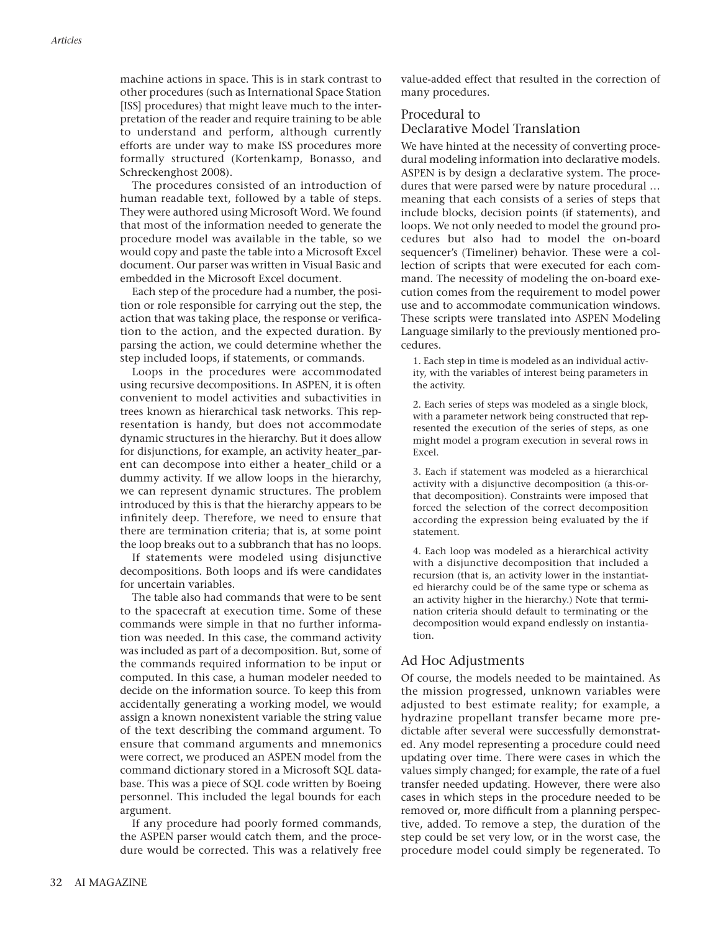machine actions in space. This is in stark contrast to other procedures (such as International Space Station [ISS] procedures) that might leave much to the interpretation of the reader and require training to be able to understand and perform, although currently efforts are under way to make ISS procedures more formally structured (Kortenkamp, Bonasso, and Schreckenghost 2008).

The procedures consisted of an introduction of human readable text, followed by a table of steps. They were authored using Microsoft Word. We found that most of the information needed to generate the procedure model was available in the table, so we would copy and paste the table into a Microsoft Excel document. Our parser was written in Visual Basic and embedded in the Microsoft Excel document.

Each step of the procedure had a number, the position or role responsible for carrying out the step, the action that was taking place, the response or verification to the action, and the expected duration. By parsing the action, we could determine whether the step included loops, if statements, or commands.

Loops in the procedures were accommodated using recursive decompositions. In ASPEN, it is often convenient to model activities and subactivities in trees known as hierarchical task networks. This representation is handy, but does not accommodate dynamic structures in the hierarchy. But it does allow for disjunctions, for example, an activity heater\_parent can decompose into either a heater\_child or a dummy activity. If we allow loops in the hierarchy, we can represent dynamic structures. The problem introduced by this is that the hierarchy appears to be infinitely deep. Therefore, we need to ensure that there are termination criteria; that is, at some point the loop breaks out to a subbranch that has no loops.

If statements were modeled using disjunctive decompositions. Both loops and ifs were candidates for uncertain variables.

The table also had commands that were to be sent to the spacecraft at execution time. Some of these commands were simple in that no further information was needed. In this case, the command activity was included as part of a decomposition. But, some of the commands required information to be input or computed. In this case, a human modeler needed to decide on the information source. To keep this from accidentally generating a working model, we would assign a known nonexistent variable the string value of the text describing the command argument. To ensure that command arguments and mnemonics were correct, we produced an ASPEN model from the command dictionary stored in a Microsoft SQL database. This was a piece of SQL code written by Boeing personnel. This included the legal bounds for each argument.

If any procedure had poorly formed commands, the ASPEN parser would catch them, and the procedure would be corrected. This was a relatively free value-added effect that resulted in the correction of many procedures.

## Procedural to

## Declarative Model Translation

We have hinted at the necessity of converting procedural modeling information into declarative models. ASPEN is by design a declarative system. The procedures that were parsed were by nature procedural … meaning that each consists of a series of steps that include blocks, decision points (if statements), and loops. We not only needed to model the ground procedures but also had to model the on-board sequencer's (Timeliner) behavior. These were a collection of scripts that were executed for each command. The necessity of modeling the on-board execution comes from the requirement to model power use and to accommodate communication windows. These scripts were translated into ASPEN Modeling Language similarly to the previously mentioned procedures.

1. Each step in time is modeled as an individual activity, with the variables of interest being parameters in the activity.

2. Each series of steps was modeled as a single block, with a parameter network being constructed that represented the execution of the series of steps, as one might model a program execution in several rows in Excel.

3. Each if statement was modeled as a hierarchical activity with a disjunctive decomposition (a this-orthat decomposition). Constraints were imposed that forced the selection of the correct decomposition according the expression being evaluated by the if statement.

4. Each loop was modeled as a hierarchical activity with a disjunctive decomposition that included a recursion (that is, an activity lower in the instantiated hierarchy could be of the same type or schema as an activity higher in the hierarchy.) Note that termination criteria should default to terminating or the decomposition would expand endlessly on instantiation.

## Ad Hoc Adjustments

Of course, the models needed to be maintained. As the mission progressed, unknown variables were adjusted to best estimate reality; for example, a hydrazine propellant transfer became more predictable after several were successfully demonstrated. Any model representing a procedure could need updating over time. There were cases in which the values simply changed; for example, the rate of a fuel transfer needed updating. However, there were also cases in which steps in the procedure needed to be removed or, more difficult from a planning perspective, added. To remove a step, the duration of the step could be set very low, or in the worst case, the procedure model could simply be regenerated. To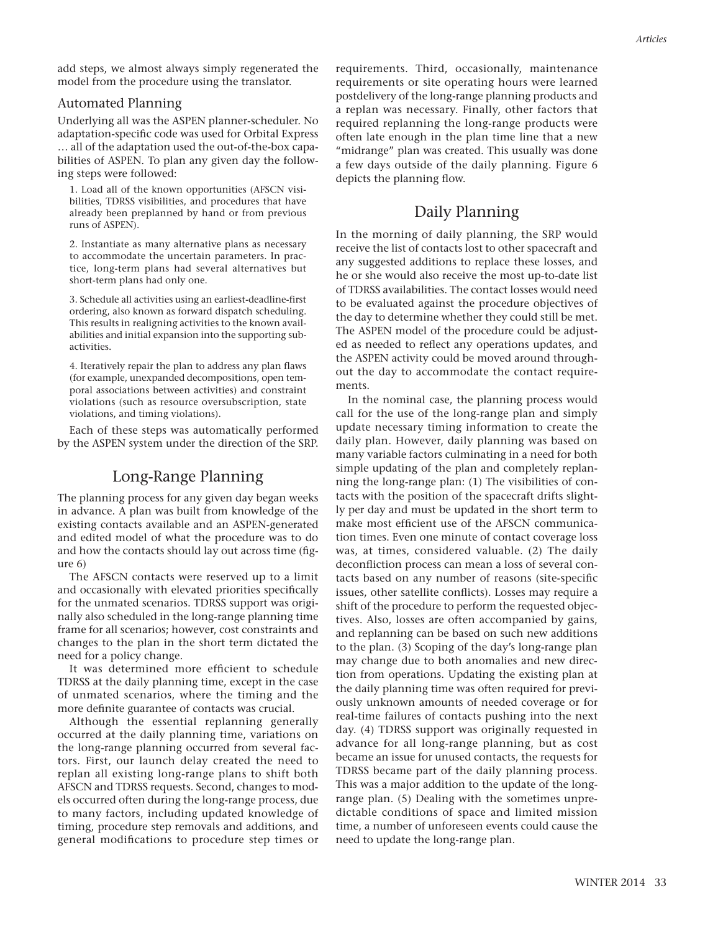add steps, we almost always simply regenerated the model from the procedure using the translator.

#### Automated Planning

Underlying all was the ASPEN planner-scheduler. No adaptation-specific code was used for Orbital Express … all of the adaptation used the out-of-the-box capabilities of ASPEN. To plan any given day the following steps were followed:

1. Load all of the known opportunities (AFSCN visibilities, TDRSS visibilities, and procedures that have already been preplanned by hand or from previous runs of ASPEN).

2. Instantiate as many alternative plans as necessary to accommodate the uncertain parameters. In practice, long-term plans had several alternatives but short-term plans had only one.

3. Schedule all activities using an earliest-deadline-first ordering, also known as forward dispatch scheduling. This results in realigning activities to the known availabilities and initial expansion into the supporting subactivities.

4. Iteratively repair the plan to address any plan flaws (for example, unexpanded decompositions, open temporal associations between activities) and constraint violations (such as resource oversubscription, state violations, and timing violations).

Each of these steps was automatically performed by the ASPEN system under the direction of the SRP.

## Long-Range Planning

The planning process for any given day began weeks in advance. A plan was built from knowledge of the existing contacts available and an ASPEN-generated and edited model of what the procedure was to do and how the contacts should lay out across time (figure 6)

The AFSCN contacts were reserved up to a limit and occasionally with elevated priorities specifically for the unmated scenarios. TDRSS support was originally also scheduled in the long-range planning time frame for all scenarios; however, cost constraints and changes to the plan in the short term dictated the need for a policy change.

It was determined more efficient to schedule TDRSS at the daily planning time, except in the case of unmated scenarios, where the timing and the more definite guarantee of contacts was crucial.

Although the essential replanning generally occurred at the daily planning time, variations on the long-range planning occurred from several factors. First, our launch delay created the need to replan all existing long-range plans to shift both AFSCN and TDRSS requests. Second, changes to models occurred often during the long-range process, due to many factors, including updated knowledge of timing, procedure step removals and additions, and general modifications to procedure step times or

requirements. Third, occasionally, maintenance requirements or site operating hours were learned postdelivery of the long-range planning products and a replan was necessary. Finally, other factors that required replanning the long-range products were often late enough in the plan time line that a new "midrange" plan was created. This usually was done a few days outside of the daily planning. Figure 6 depicts the planning flow.

## Daily Planning

In the morning of daily planning, the SRP would receive the list of contacts lost to other spacecraft and any suggested additions to replace these losses, and he or she would also receive the most up-to-date list of TDRSS availabilities. The contact losses would need to be evaluated against the procedure objectives of the day to determine whether they could still be met. The ASPEN model of the procedure could be adjusted as needed to reflect any operations updates, and the ASPEN activity could be moved around throughout the day to accommodate the contact requirements.

In the nominal case, the planning process would call for the use of the long-range plan and simply update necessary timing information to create the daily plan. However, daily planning was based on many variable factors culminating in a need for both simple updating of the plan and completely replanning the long-range plan: (1) The visibilities of contacts with the position of the spacecraft drifts slightly per day and must be updated in the short term to make most efficient use of the AFSCN communication times. Even one minute of contact coverage loss was, at times, considered valuable. (2) The daily deconfliction process can mean a loss of several contacts based on any number of reasons (site-specific issues, other satellite conflicts). Losses may require a shift of the procedure to perform the requested objectives. Also, losses are often accompanied by gains, and replanning can be based on such new additions to the plan. (3) Scoping of the day's long-range plan may change due to both anomalies and new direction from operations. Updating the existing plan at the daily planning time was often required for previously unknown amounts of needed coverage or for real-time failures of contacts pushing into the next day. (4) TDRSS support was originally requested in advance for all long-range planning, but as cost became an issue for unused contacts, the requests for TDRSS became part of the daily planning process. This was a major addition to the update of the longrange plan. (5) Dealing with the sometimes unpredictable conditions of space and limited mission time, a number of unforeseen events could cause the need to update the long-range plan.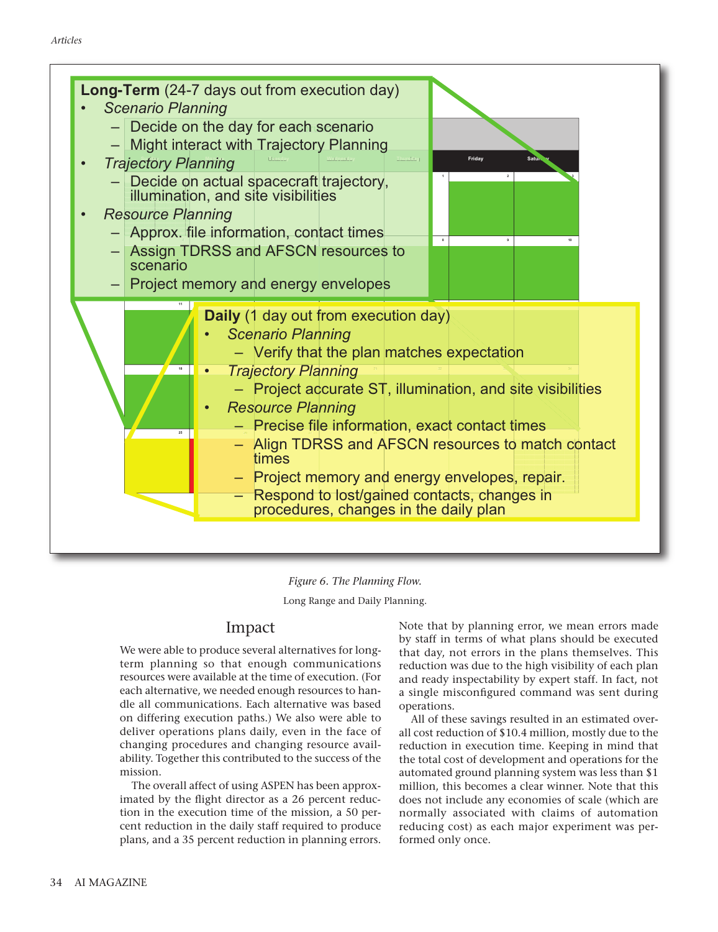

### *Figure 6. The Planning Flow.*

Long Range and Daily Planning.

## Impact

We were able to produce several alternatives for longterm planning so that enough communications resources were available at the time of execution. (For each alternative, we needed enough resources to handle all communications. Each alternative was based on differing execution paths.) We also were able to deliver operations plans daily, even in the face of changing procedures and changing resource availability. Together this contributed to the success of the mission.

The overall affect of using ASPEN has been approximated by the flight director as a 26 percent reduction in the execution time of the mission, a 50 percent reduction in the daily staff required to produce plans, and a 35 percent reduction in planning errors. Note that by planning error, we mean errors made by staff in terms of what plans should be executed that day, not errors in the plans themselves. This reduction was due to the high visibility of each plan and ready inspectability by expert staff. In fact, not a single misconfigured command was sent during operations.

All of these savings resulted in an estimated overall cost reduction of \$10.4 million, mostly due to the reduction in execution time. Keeping in mind that the total cost of development and operations for the automated ground planning system was less than \$1 million, this becomes a clear winner. Note that this does not include any economies of scale (which are normally associated with claims of automation reducing cost) as each major experiment was performed only once.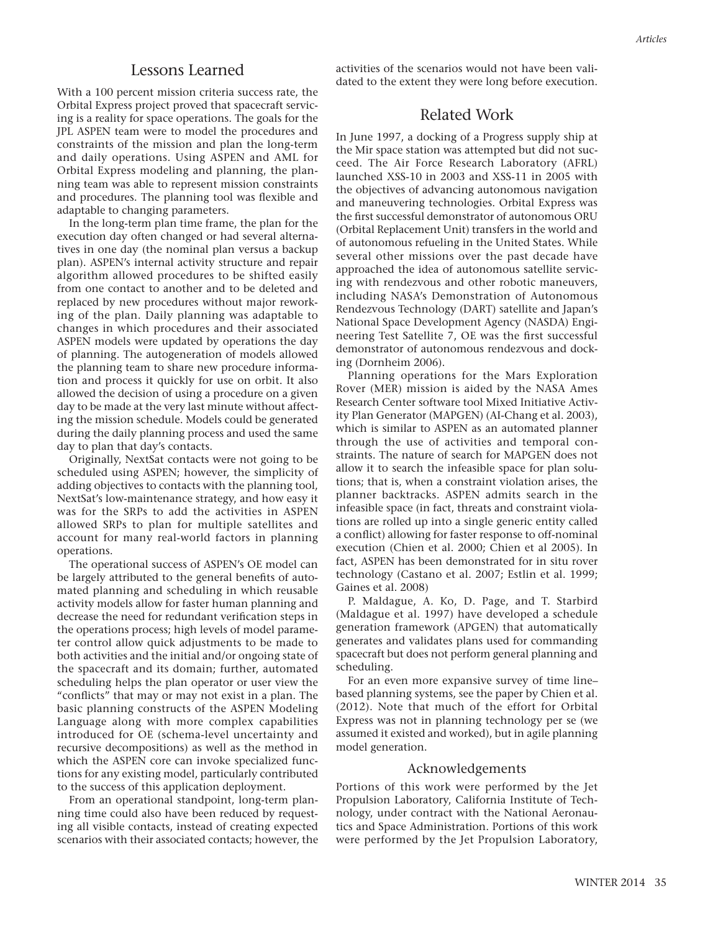## Lessons Learned

With a 100 percent mission criteria success rate, the Orbital Express project proved that spacecraft servicing is a reality for space operations. The goals for the JPL ASPEN team were to model the procedures and constraints of the mission and plan the long-term and daily operations. Using ASPEN and AML for Orbital Express modeling and planning, the planning team was able to represent mission constraints and procedures. The planning tool was flexible and adaptable to changing parameters.

In the long-term plan time frame, the plan for the execution day often changed or had several alternatives in one day (the nominal plan versus a backup plan). ASPEN's internal activity structure and repair algorithm allowed procedures to be shifted easily from one contact to another and to be deleted and replaced by new procedures without major reworking of the plan. Daily planning was adaptable to changes in which procedures and their associated ASPEN models were updated by operations the day of planning. The autogeneration of models allowed the planning team to share new procedure information and process it quickly for use on orbit. It also allowed the decision of using a procedure on a given day to be made at the very last minute without affecting the mission schedule. Models could be generated during the daily planning process and used the same day to plan that day's contacts.

Originally, NextSat contacts were not going to be scheduled using ASPEN; however, the simplicity of adding objectives to contacts with the planning tool, NextSat's low-maintenance strategy, and how easy it was for the SRPs to add the activities in ASPEN allowed SRPs to plan for multiple satellites and account for many real-world factors in planning operations.

The operational success of ASPEN's OE model can be largely attributed to the general benefits of automated planning and scheduling in which reusable activity models allow for faster human planning and decrease the need for redundant verification steps in the operations process; high levels of model parameter control allow quick adjustments to be made to both activities and the initial and/or ongoing state of the spacecraft and its domain; further, automated scheduling helps the plan operator or user view the "conflicts" that may or may not exist in a plan. The basic planning constructs of the ASPEN Modeling Language along with more complex capabilities introduced for OE (schema-level uncertainty and recursive decompositions) as well as the method in which the ASPEN core can invoke specialized functions for any existing model, particularly contributed to the success of this application deployment.

From an operational standpoint, long-term planning time could also have been reduced by requesting all visible contacts, instead of creating expected scenarios with their associated contacts; however, the activities of the scenarios would not have been validated to the extent they were long before execution.

## Related Work

In June 1997, a docking of a Progress supply ship at the Mir space station was attempted but did not succeed. The Air Force Research Laboratory (AFRL) launched XSS-10 in 2003 and XSS-11 in 2005 with the objectives of advancing autonomous navigation and maneuvering technologies. Orbital Express was the first successful demonstrator of autonomous ORU (Orbital Replacement Unit) transfers in the world and of autonomous refueling in the United States. While several other missions over the past decade have approached the idea of autonomous satellite servicing with rendezvous and other robotic maneuvers, including NASA's Demonstration of Autonomous Rendezvous Technology (DART) satellite and Japan's National Space Development Agency (NASDA) Engineering Test Satellite 7, OE was the first successful demonstrator of autonomous rendezvous and docking (Dornheim 2006).

Planning operations for the Mars Exploration Rover (MER) mission is aided by the NASA Ames Research Center software tool Mixed Initiative Activity Plan Generator (MAPGEN) (AI-Chang et al. 2003), which is similar to ASPEN as an automated planner through the use of activities and temporal constraints. The nature of search for MAPGEN does not allow it to search the infeasible space for plan solutions; that is, when a constraint violation arises, the planner backtracks. ASPEN admits search in the infeasible space (in fact, threats and constraint violations are rolled up into a single generic entity called a conflict) allowing for faster response to off-nominal execution (Chien et al. 2000; Chien et al 2005). In fact, ASPEN has been demonstrated for in situ rover technology (Castano et al. 2007; Estlin et al. 1999; Gaines et al. 2008)

P. Maldague, A. Ko, D. Page, and T. Starbird (Maldague et al. 1997) have developed a schedule generation framework (APGEN) that automatically generates and validates plans used for commanding spacecraft but does not perform general planning and scheduling.

For an even more expansive survey of time line– based planning systems, see the paper by Chien et al. (2012). Note that much of the effort for Orbital Express was not in planning technology per se (we assumed it existed and worked), but in agile planning model generation.

#### Acknowledgements

Portions of this work were performed by the Jet Propulsion Laboratory, California Institute of Technology, under contract with the National Aeronautics and Space Administration. Portions of this work were performed by the Jet Propulsion Laboratory,